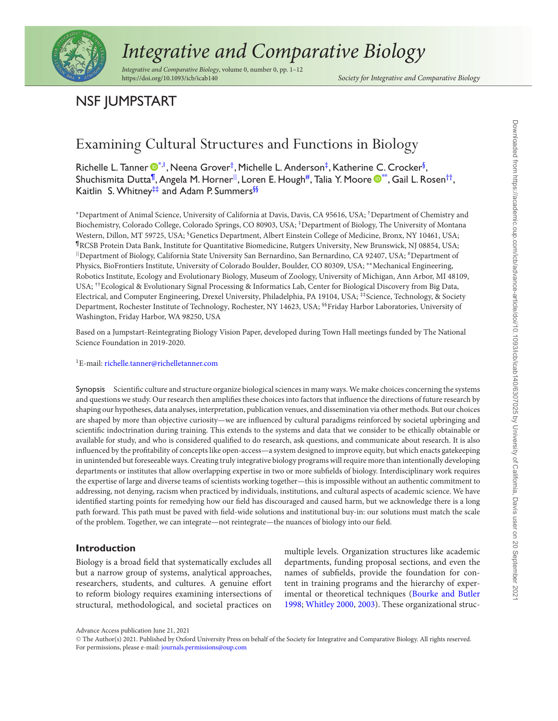

# *Integrative and Comparative Biology*

*Integrative and Comparative Biology*, volume 0, number 0, pp. 1–12 https://doi.org/10.1093/icb/icab140 *Society for Integrative and Comparative Biology*

## NSF JUMPSTART

## Examining Cultural Structures and Functions in Biology

Richelle L. Tanner  $\pmb{\mathbb{O}}^{*,l}$  $\pmb{\mathbb{O}}^{*,l}$  $\pmb{\mathbb{O}}^{*,l}$ , Neena Grover $^\dagger$ , Michelle L. Anderson $^\ddag$ , Katherine C. Crocker $^\S$ , Shuchismita Dutta<sup>¶</sup>, Angela M. Horner<sup>||</sup>, Loren E. Hough<sup>#</sup>, Talia Y. Moore ®[\\*](http://orcid.org/0000-0003-0867-4512)\*, Gail L. Rosen<sup>††</sup>, Kaitlin S. Whitney<sup>‡‡</sup> and Adam P. Summers<sup>§§</sup>

<sup>∗</sup>Department of Animal Science, University of California at Davis, Davis, CA 95616, USA; †Department of Chemistry and Biochemistry, Colorado College, Colorado Springs, CO 80903, USA; ‡Department of Biology, The University of Montana Western, Dillon, MT 59725, USA; <sup>§</sup>Genetics Department, Albert Einstein College of Medicine, Bronx, NY 10461, USA; ¶RCSB Protein Data Bank, Institute for Quantitative Biomedicine, Rutgers University, New Brunswick, NJ 08854, USA; ||Department of Biology, California State University San Bernardino, San Bernardino, CA 92407, USA; #Department of Physics, BioFrontiers Institute, University of Colorado Boulder, Boulder, CO 80309, USA; ∗∗Mechanical Engineering, Robotics Institute, Ecology and Evolutionary Biology, Museum of Zoology, University of Michigan, Ann Arbor, MI 48109, USA; ††Ecological & Evolutionary Signal Processing & Informatics Lab, Center for Biological Discovery from Big Data, Electrical, and Computer Engineering, Drexel University, Philadelphia, PA 19104, USA; #\$cience, Technology, & Society Department, Rochester Institute of Technology, Rochester, NY 14623, USA; <sup>§§</sup>Friday Harbor Laboratories, University of Washington, Friday Harbor, WA 98250, USA

Based on a Jumpstart-Reintegrating Biology Vision Paper, developed during Town Hall meetings funded by The National Science Foundation in 2019-2020.

#### ${}^{1}E$ -mail: [richelle.tanner@richelletanner.com](mailto:richelle.tanner@richelletanner.com)

Synopsis Scientific culture and structure organize biological sciences in many ways. We make choices concerning the systems and questions we study. Our research then amplifies these choices into factors that influence the directions of future research by shaping our hypotheses, data analyses, interpretation, publication venues, and dissemination via other methods. But our choices are shaped by more than objective curiosity—we are influenced by cultural paradigms reinforced by societal upbringing and scientific indoctrination during training. This extends to the systems and data that we consider to be ethically obtainable or available for study, and who is considered qualified to do research, ask questions, and communicate about research. It is also influenced by the profitability of concepts like open-access—a system designed to improve equity, but which enacts gatekeeping in unintended but foreseeable ways. Creating truly integrative biology programs will require more than intentionally developing departments or institutes that allow overlapping expertise in two or more subfields of biology. Interdisciplinary work requires the expertise of large and diverse teams of scientists working together—this is impossible without an authentic commitment to addressing, not denying, racism when practiced by individuals, institutions, and cultural aspects of academic science. We have identified starting points for remedying how our field has discouraged and caused harm, but we acknowledge there is a long path forward. This path must be paved with field-wide solutions and institutional buy-in: our solutions must match the scale of the problem. Together, we can integrate—not reintegrate—the nuances of biology into our field.

### **Introduction**

Biology is a broad field that systematically excludes all but a narrow group of systems, analytical approaches, researchers, students, and cultures. A genuine effort to reform biology requires examining intersections of structural, methodological, and societal practices on

multiple levels. Organization structures like academic departments, funding proposal sections, and even the names of subfields, provide the foundation for content in training programs and the hierarchy of experimental or theoretical techniques (Bourke and Butler 1998; Whitley 2000, 2003). These organizational struc-

Advance Access publication June 21, 2021

<sup>&</sup>quot;<sup>C</sup> The Author(s) 2021. Published by Oxford University Press on behalf of the Society for Integrative and Comparative Biology. All rights reserved. For permissions, please e-mail: [journals.permissions@oup.com](mailto:journals.permissions@oup.com)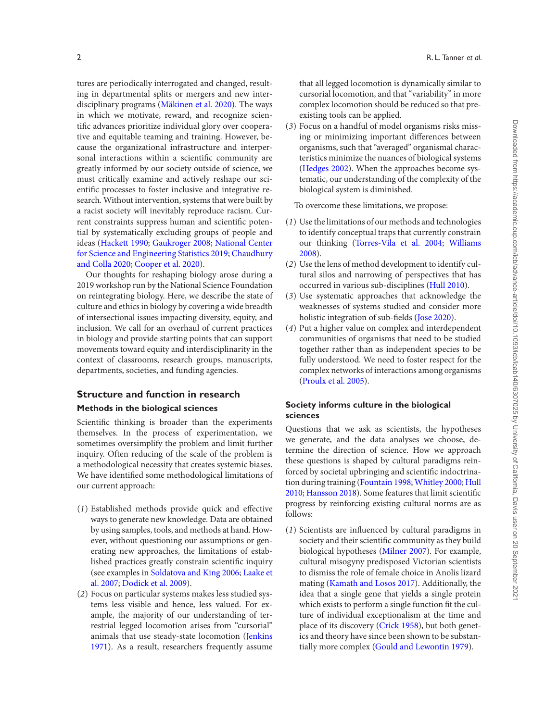tures are periodically interrogated and changed, resulting in departmental splits or mergers and new interdisciplinary programs (Mäkinen et al. 2020). The ways in which we motivate, reward, and recognize scientific advances prioritize individual glory over cooperative and equitable teaming and training. However, because the organizational infrastructure and interpersonal interactions within a scientific community are greatly informed by our society outside of science, we must critically examine and actively reshape our scientific processes to foster inclusive and integrative research. Without intervention, systems that were built by a racist society will inevitably reproduce racism. Current constraints suppress human and scientific potential by systematically excluding groups of people and ideas (Hackett 1990; Gaukroger 2008; National Center for Science and Engineering Statistics 2019; Chaudhury and Colla 2020; Cooper et al. 2020).

Our thoughts for reshaping biology arose during a 2019 workshop run by the National Science Foundation on reintegrating biology. Here, we describe the state of culture and ethics in biology by covering a wide breadth of intersectional issues impacting diversity, equity, and inclusion. We call for an overhaul of current practices in biology and provide starting points that can support movements toward equity and interdisciplinarity in the context of classrooms, research groups, manuscripts, departments, societies, and funding agencies.

## **Structure and function in research**

## **Methods in the biological sciences**

Scientific thinking is broader than the experiments themselves. In the process of experimentation, we sometimes oversimplify the problem and limit further inquiry. Often reducing of the scale of the problem is a methodological necessity that creates systemic biases. We have identified some methodological limitations of our current approach:

- $(1)$  Established methods provide quick and effective ways to generate new knowledge. Data are obtained by using samples, tools, and methods at hand. However, without questioning our assumptions or generating new approaches, the limitations of established practices greatly constrain scientific inquiry (see examples in Soldatova and King 2006; Laake et al. 2007; Dodick et al. 2009).
- (*2*) Focus on particular systems makes less studied systems less visible and hence, less valued. For example, the majority of our understanding of terrestrial legged locomotion arises from "cursorial" animals that use steady-state locomotion (Jenkins 1971). As a result, researchers frequently assume

that all legged locomotion is dynamically similar to cursorial locomotion, and that "variability" in more complex locomotion should be reduced so that preexisting tools can be applied.

(*3*) Focus on a handful of model organisms risks missing or minimizing important differences between organisms, such that "averaged" organismal characteristics minimize the nuances of biological systems (Hedges 2002). When the approaches become systematic, our understanding of the complexity of the biological system is diminished.

To overcome these limitations, we propose:

- (*1*) Use the limitations of our methods and technologies to identify conceptual traps that currently constrain our thinking (Torres-Vila et al. 2004; Williams 2008).
- (*2*) Use the lens of method development to identify cultural silos and narrowing of perspectives that has occurred in various sub-disciplines (Hull 2010).
- (*3*) Use systematic approaches that acknowledge the weaknesses of systems studied and consider more holistic integration of sub-fields (Jose 2020).
- (*4*) Put a higher value on complex and interdependent communities of organisms that need to be studied together rather than as independent species to be fully understood. We need to foster respect for the complex networks of interactions among organisms (Proulx et al. 2005).

## **Society informs culture in the biological sciences**

Questions that we ask as scientists, the hypotheses we generate, and the data analyses we choose, determine the direction of science. How we approach these questions is shaped by cultural paradigms reinforced by societal upbringing and scientific indoctrination during training (Fountain 1998; Whitley 2000; Hull  $2010$ ; Hansson  $2018$ ). Some features that limit scientific progress by reinforcing existing cultural norms are as follows:

 $(1)$  Scientists are influenced by cultural paradigms in society and their scientific community as they build biological hypotheses (Milner 2007). For example, cultural misogyny predisposed Victorian scientists to dismiss the role of female choice in Anolis lizard mating (Kamath and Losos 2017). Additionally, the idea that a single gene that yields a single protein which exists to perform a single function fit the culture of individual exceptionalism at the time and place of its discovery (Crick 1958), but both genetics and theory have since been shown to be substantially more complex (Gould and Lewontin 1979).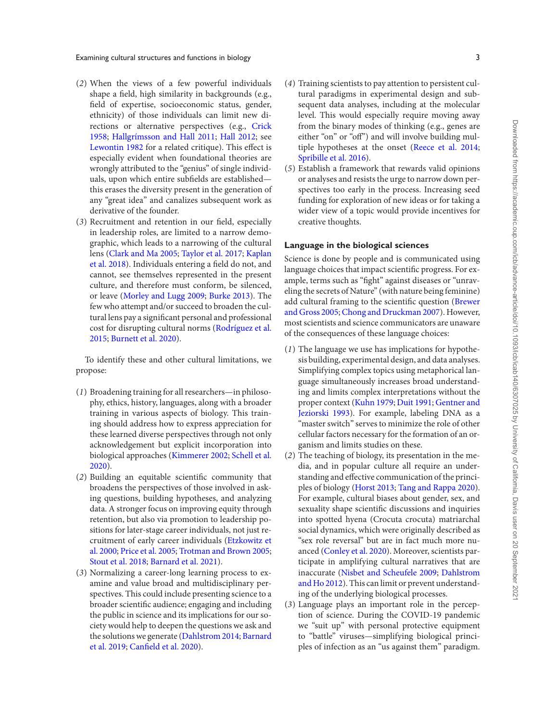Examining cultural structures and functions in biology 3

- (*2*) When the views of a few powerful individuals shape a field, high similarity in backgrounds (e.g., field of expertise, socioeconomic status, gender, ethnicity) of those individuals can limit new directions or alternative perspectives (e.g., Crick 1958; Hallgrímsson and Hall 2011; Hall 2012; see Lewontin 1982 for a related critique). This effect is especially evident when foundational theories are wrongly attributed to the "genius" of single individuals, upon which entire subfields are established this erases the diversity present in the generation of any "great idea" and canalizes subsequent work as derivative of the founder.
- (3) Recruitment and retention in our field, especially in leadership roles, are limited to a narrow demographic, which leads to a narrowing of the cultural lens (Clark and Ma 2005; Taylor et al. 2017; Kaplan et al. 2018). Individuals entering a field do not, and cannot, see themselves represented in the present culture, and therefore must conform, be silenced, or leave (Morley and Lugg 2009; Burke 2013). The few who attempt and/or succeed to broaden the cultural lens pay a significant personal and professional cost for disrupting cultural norms (Rodríguez et al. 2015; Burnett et al. 2020).

To identify these and other cultural limitations, we propose:

- (*1*) Broadening training for all researchers—in philosophy, ethics, history, languages, along with a broader training in various aspects of biology. This training should address how to express appreciation for these learned diverse perspectives through not only acknowledgement but explicit incorporation into biological approaches (Kimmerer 2002; Schell et al. 2020).
- $(2)$  Building an equitable scientific community that broadens the perspectives of those involved in asking questions, building hypotheses, and analyzing data. A stronger focus on improving equity through retention, but also via promotion to leadership positions for later-stage career individuals, not just recruitment of early career individuals (Etzkowitz et al. 2000; Price et al. 2005; Trotman and Brown 2005; Stout et al. 2018; Barnard et al. 2021).
- (*3*) Normalizing a career-long learning process to examine and value broad and multidisciplinary perspectives. This could include presenting science to a broader scientific audience; engaging and including the public in science and its implications for our society would help to deepen the questions we ask and the solutions we generate (Dahlstrom 2014; Barnard et al. 2019; Canfield et al. 2020).
- (*4*) Training scientists to pay attention to persistent cultural paradigms in experimental design and subsequent data analyses, including at the molecular level. This would especially require moving away from the binary modes of thinking (e.g., genes are either "on" or "off") and will involve building multiple hypotheses at the onset (Reece et al. 2014; Spribille et al. 2016).
- (*5*) Establish a framework that rewards valid opinions or analyses and resists the urge to narrow down perspectives too early in the process. Increasing seed funding for exploration of new ideas or for taking a wider view of a topic would provide incentives for creative thoughts.

## **Language in the biological sciences**

Science is done by people and is communicated using language choices that impact scientific progress. For example, terms such as "fight" against diseases or "unraveling the secrets of Nature" (with nature being feminine) add cultural framing to the scientific question (Brewer and Gross 2005;Chong and Druckman 2007). However, most scientists and science communicators are unaware of the consequences of these language choices:

- (*1*) The language we use has implications for hypothesis building, experimental design, and data analyses. Simplifying complex topics using metaphorical language simultaneously increases broad understanding and limits complex interpretations without the proper context (Kuhn 1979; Duit 1991; Gentner and Jeziorski 1993). For example, labeling DNA as a "master switch" serves to minimize the role of other cellular factors necessary for the formation of an organism and limits studies on these.
- (*2*) The teaching of biology, its presentation in the media, and in popular culture all require an understanding and effective communication of the principles of biology (Horst 2013; Tang and Rappa 2020). For example, cultural biases about gender, sex, and sexuality shape scientific discussions and inquiries into spotted hyena (Crocuta crocuta) matriarchal social dynamics, which were originally described as "sex role reversal" but are in fact much more nuanced (Conley et al. 2020). Moreover, scientists participate in amplifying cultural narratives that are inaccurate (Nisbet and Scheufele 2009; Dahlstrom and Ho 2012). This can limit or prevent understanding of the underlying biological processes.
- (*3*) Language plays an important role in the perception of science. During the COVID-19 pandemic we "suit up" with personal protective equipment to "battle" viruses—simplifying biological principles of infection as an "us against them" paradigm.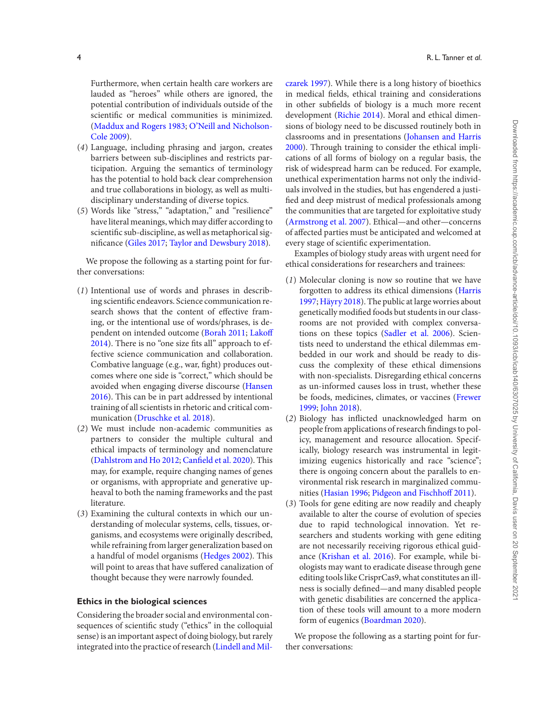Furthermore, when certain health care workers are lauded as "heroes" while others are ignored, the potential contribution of individuals outside of the scientific or medical communities is minimized. (Maddux and Rogers 1983; O'Neill and Nicholson-Cole 2009).

- (*4*) Language, including phrasing and jargon, creates barriers between sub-disciplines and restricts participation. Arguing the semantics of terminology has the potential to hold back clear comprehension and true collaborations in biology, as well as multidisciplinary understanding of diverse topics.
- (*5*) Words like "stress," "adaptation," and "resilience" have literal meanings, which may differ according to scientific sub-discipline, as well as metaphorical significance (Giles 2017; Taylor and Dewsbury 2018).

We propose the following as a starting point for further conversations:

- (*1*) Intentional use of words and phrases in describing scientific endeavors. Science communication research shows that the content of effective framing, or the intentional use of words/phrases, is dependent on intended outcome (Borah 2011; Lakoff  $2014$ ). There is no "one size fits all" approach to effective science communication and collaboration. Combative language (e.g., war, fight) produces outcomes where one side is "correct," which should be avoided when engaging diverse discourse (Hansen 2016). This can be in part addressed by intentional training of all scientists in rhetoric and critical communication (Druschke et al. 2018).
- (*2*) We must include non-academic communities as partners to consider the multiple cultural and ethical impacts of terminology and nomenclature (Dahlstrom and Ho 2012; Canfield et al. 2020). This may, for example, require changing names of genes or organisms, with appropriate and generative upheaval to both the naming frameworks and the past literature.
- (*3*) Examining the cultural contexts in which our understanding of molecular systems, cells, tissues, organisms, and ecosystems were originally described, while refraining from larger generalization based on a handful of model organisms (Hedges 2002). This will point to areas that have suffered canalization of thought because they were narrowly founded.

### **Ethics in the biological sciences**

Considering the broader social and environmental consequences of scientific study ("ethics" in the colloquial sense) is an important aspect of doing biology, but rarely integrated into the practice of research (Lindell and Milczarek 1997). While there is a long history of bioethics in medical fields, ethical training and considerations in other subfields of biology is a much more recent development (Richie 2014). Moral and ethical dimensions of biology need to be discussed routinely both in classrooms and in presentations (Johansen and Harris 2000). Through training to consider the ethical implications of all forms of biology on a regular basis, the risk of widespread harm can be reduced. For example, unethical experimentation harms not only the individuals involved in the studies, but has engendered a justi fied and deep mistrust of medical professionals among the communities that are targeted for exploitative study (Armstrong et al. 2007). Ethical—and other—concerns of affected parties must be anticipated and welcomed at every stage of scientific experimentation.

Examples of biology study areas with urgent need for ethical considerations for researchers and trainees:

- (*1*) Molecular cloning is now so routine that we have forgotten to address its ethical dimensions (Harris 1997;Häyry 2018). The public at large worries about genetically modified foods but students in our classrooms are not provided with complex conversations on these topics (Sadler et al. 2006). Scientists need to understand the ethical dilemmas embedded in our work and should be ready to discuss the complexity of these ethical dimensions with non-specialists. Disregarding ethical concerns as un-informed causes loss in trust, whether these be foods, medicines, climates, or vaccines (Frewer 1999; John 2018).
- (2) Biology has inflicted unacknowledged harm on people from applications of research findings to policy, management and resource allocation. Specifically, biology research was instrumental in legitimizing eugenics historically and race "science"; there is ongoing concern about the parallels to environmental risk research in marginalized communities (Hasian 1996; Pidgeon and Fischhoff 2011).
- (*3*) Tools for gene editing are now readily and cheaply available to alter the course of evolution of species due to rapid technological innovation. Yet researchers and students working with gene editing are not necessarily receiving rigorous ethical guidance (Krishan et al. 2016). For example, while biologists may want to eradicate disease through gene editing tools like CrisprCas9, what constitutes an illness is socially defined—and many disabled people with genetic disabilities are concerned the application of these tools will amount to a more modern form of eugenics (Boardman 2020).

We propose the following as a starting point for further conversations: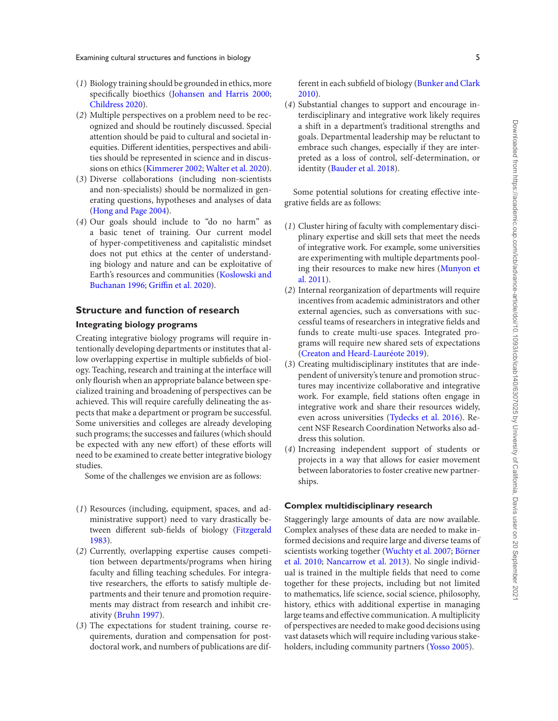Examining cultural structures and functions in biology 5

- (*1*) Biology training should be grounded in ethics, more specifically bioethics (Johansen and Harris 2000; Childress 2020).
- (*2*) Multiple perspectives on a problem need to be recognized and should be routinely discussed. Special attention should be paid to cultural and societal inequities. Different identities, perspectives and abilities should be represented in science and in discussions on ethics (Kimmerer 2002; Walter et al. 2020).
- (*3*) Diverse collaborations (including non-scientists and non-specialists) should be normalized in generating questions, hypotheses and analyses of data (Hong and Page 2004).
- (*4*) Our goals should include to "do no harm" as a basic tenet of training. Our current model of hyper-competitiveness and capitalistic mindset does not put ethics at the center of understanding biology and nature and can be exploitative of Earth's resources and communities (Koslowski and Buchanan 1996; Griffin et al. 2020).

## **Structure and function of research**

## **Integrating biology programs**

Creating integrative biology programs will require intentionally developing departments or institutes that allow overlapping expertise in multiple subfields of biology. Teaching, research and training at the interface will only flourish when an appropriate balance between specialized training and broadening of perspectives can be achieved. This will require carefully delineating the aspects that make a department or program be successful. Some universities and colleges are already developing such programs; the successes and failures (which should be expected with any new effort) of these efforts will need to be examined to create better integrative biology studies.

Some of the challenges we envision are as follows:

- (*1*) Resources (including, equipment, spaces, and administrative support) need to vary drastically between different sub-fields of biology (Fitzgerald 1983).
- (*2*) Currently, overlapping expertise causes competition between departments/programs when hiring faculty and filling teaching schedules. For integrative researchers, the efforts to satisfy multiple departments and their tenure and promotion requirements may distract from research and inhibit creativity (Bruhn 1997).
- (*3*) The expectations for student training, course requirements, duration and compensation for postdoctoral work, and numbers of publications are dif-

ferent in each subfield of biology (Bunker and Clark 2010).

(*4*) Substantial changes to support and encourage interdisciplinary and integrative work likely requires a shift in a department's traditional strengths and goals. Departmental leadership may be reluctant to embrace such changes, especially if they are interpreted as a loss of control, self-determination, or identity (Bauder et al. 2018).

Some potential solutions for creating effective integrative fields are as follows:

- (*1*) Cluster hiring of faculty with complementary disciplinary expertise and skill sets that meet the needs of integrative work. For example, some universities are experimenting with multiple departments pooling their resources to make new hires (Munyon et al. 2011).
- (*2*) Internal reorganization of departments will require incentives from academic administrators and other external agencies, such as conversations with successful teams of researchers in integrative fields and funds to create multi-use spaces. Integrated programs will require new shared sets of expectations (Creaton and Heard-Lauréote 2019).
- (*3*) Creating multidisciplinary institutes that are independent of university's tenure and promotion structures may incentivize collaborative and integrative work. For example, field stations often engage in integrative work and share their resources widely, even across universities (Tydecks et al. 2016). Recent NSF Research Coordination Networks also address this solution.
- (*4*) Increasing independent support of students or projects in a way that allows for easier movement between laboratories to foster creative new partnerships.

## **Complex multidisciplinary research**

Staggeringly large amounts of data are now available. Complex analyses of these data are needed to make informed decisions and require large and diverse teams of scientists working together (Wuchty et al. 2007; Börner et al. 2010; Nancarrow et al. 2013). No single individual is trained in the multiple fields that need to come together for these projects, including but not limited to mathematics, life science, social science, philosophy, history, ethics with additional expertise in managing large teams and effective communication. A multiplicity of perspectives are needed to make good decisions using vast datasets which will require including various stakeholders, including community partners (Yosso 2005).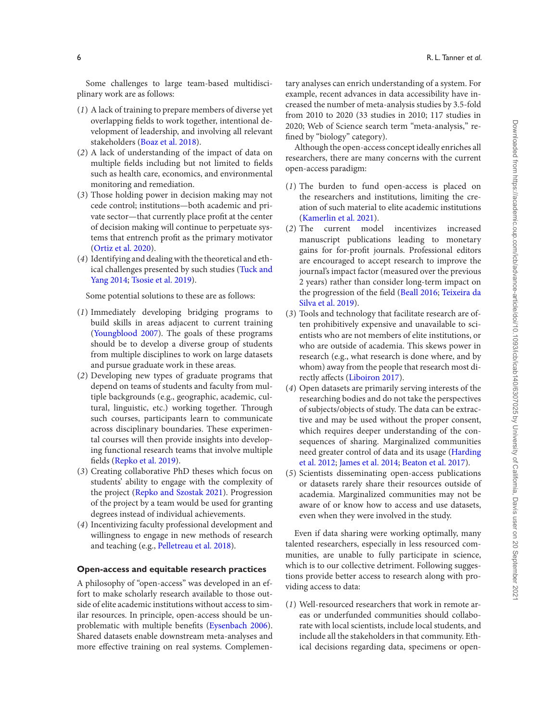Some challenges to large team-based multidisciplinary work are as follows:

- (*1*) A lack of training to prepare members of diverse yet overlapping fields to work together, intentional development of leadership, and involving all relevant stakeholders (Boaz et al. 2018).
- (*2*) A lack of understanding of the impact of data on multiple fields including but not limited to fields such as health care, economics, and environmental monitoring and remediation.
- (*3*) Those holding power in decision making may not cede control; institutions—both academic and private sector—that currently place profit at the center of decision making will continue to perpetuate systems that entrench profit as the primary motivator (Ortiz et al. 2020).
- (*4*) Identifying and dealing with the theoretical and ethical challenges presented by such studies (Tuck and Yang 2014; Tsosie et al. 2019).

Some potential solutions to these are as follows:

- (*1*) Immediately developing bridging programs to build skills in areas adjacent to current training (Youngblood 2007). The goals of these programs should be to develop a diverse group of students from multiple disciplines to work on large datasets and pursue graduate work in these areas.
- (*2*) Developing new types of graduate programs that depend on teams of students and faculty from multiple backgrounds (e.g., geographic, academic, cultural, linguistic, etc.) working together. Through such courses, participants learn to communicate across disciplinary boundaries. These experimental courses will then provide insights into developing functional research teams that involve multiple fields (Repko et al. 2019).
- (*3*) Creating collaborative PhD theses which focus on students' ability to engage with the complexity of the project (Repko and Szostak 2021). Progression of the project by a team would be used for granting degrees instead of individual achievements.
- (*4*) Incentivizing faculty professional development and willingness to engage in new methods of research and teaching (e.g., Pelletreau et al. 2018).

### **Open-access and equitable research practices**

A philosophy of "open-access" was developed in an effort to make scholarly research available to those outside of elite academic institutions without access to similar resources. In principle, open-access should be unproblematic with multiple benefits (Eysenbach 2006). Shared datasets enable downstream meta-analyses and more effective training on real systems. Complementary analyses can enrich understanding of a system. For example, recent advances in data accessibility have increased the number of meta-analysis studies by 3.5-fold from 2010 to 2020 (33 studies in 2010; 117 studies in 2020; Web of Science search term "meta-analysis," re fined by "biology" category).

Although the open-access concept ideally enriches all researchers, there are many concerns with the current open-access paradigm:

- (*1*) The burden to fund open-access is placed on the researchers and institutions, limiting the creation of such material to elite academic institutions (Kamerlin et al. 2021).
- (*2*) The current model incentivizes increased manuscript publications leading to monetary gains for for-profit journals. Professional editors are encouraged to accept research to improve the journal's impact factor (measured over the previous 2 years) rather than consider long-term impact on the progression of the field (Beall 2016; Teixeira da Silva et al. 2019).
- (*3*) Tools and technology that facilitate research are often prohibitively expensive and unavailable to scientists who are not members of elite institutions, or who are outside of academia. This skews power in research (e.g., what research is done where, and by whom) away from the people that research most directly affects (Liboiron 2017).
- (*4*) Open datasets are primarily serving interests of the researching bodies and do not take the perspectives of subjects/objects of study. The data can be extractive and may be used without the proper consent, which requires deeper understanding of the consequences of sharing. Marginalized communities need greater control of data and its usage (Harding et al. 2012; James et al. 2014; Beaton et al. 2017).
- (*5*) Scientists disseminating open-access publications or datasets rarely share their resources outside of academia. Marginalized communities may not be aware of or know how to access and use datasets, even when they were involved in the study.

Even if data sharing were working optimally, many talented researchers, especially in less resourced communities, are unable to fully participate in science, which is to our collective detriment. Following suggestions provide better access to research along with providing access to data:

(*1*) Well-resourced researchers that work in remote areas or underfunded communities should collaborate with local scientists, include local students, and include all the stakeholders in that community. Ethical decisions regarding data, specimens or open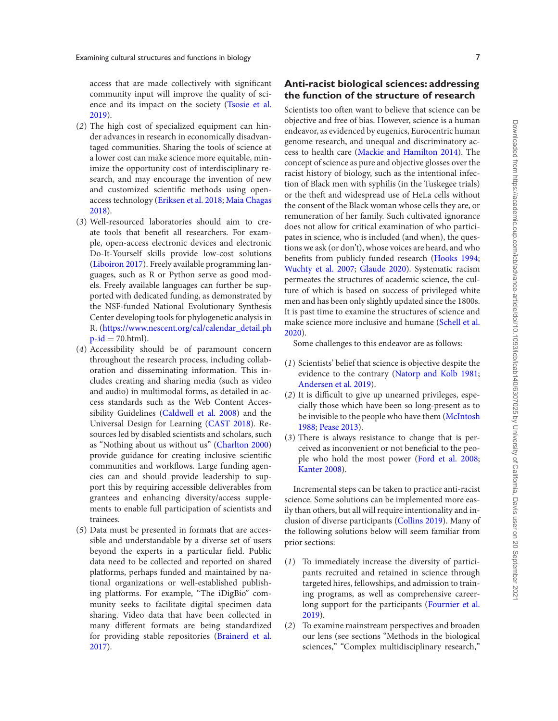access that are made collectively with significant community input will improve the quality of science and its impact on the society (Tsosie et al. 2019).

- (*2*) The high cost of specialized equipment can hinder advances in research in economically disadvantaged communities. Sharing the tools of science at a lower cost can make science more equitable, minimize the opportunity cost of interdisciplinary research, and may encourage the invention of new and customized scientific methods using openaccess technology (Eriksen et al. 2018; Maia Chagas 2018).
- (*3*) Well-resourced laboratories should aim to create tools that benefit all researchers. For example, open-access electronic devices and electronic Do-It-Yourself skills provide low-cost solutions (Liboiron 2017). Freely available programming languages, such as R or Python serve as good models. Freely available languages can further be supported with dedicated funding, as demonstrated by the NSF-funded National Evolutionary Synthesis Center developing tools for phylogenetic analysis in [R. \(https://www.nescent.org/cal/calendar\\_detail.ph](https://www.nescent.org/cal/calendar_detail.php-id)  $p$ -id = 70.html).
- (*4*) Accessibility should be of paramount concern throughout the research process, including collaboration and disseminating information. This includes creating and sharing media (such as video and audio) in multimodal forms, as detailed in access standards such as the Web Content Accessibility Guidelines (Caldwell et al. 2008) and the Universal Design for Learning (CAST 2018). Resources led by disabled scientists and scholars, such as "Nothing about us without us" (Charlton 2000) provide guidance for creating inclusive scientific communities and workflows. Large funding agencies can and should provide leadership to support this by requiring accessible deliverables from grantees and enhancing diversity/access supplements to enable full participation of scientists and trainees.
- (*5*) Data must be presented in formats that are accessible and understandable by a diverse set of users beyond the experts in a particular field. Public data need to be collected and reported on shared platforms, perhaps funded and maintained by national organizations or well-established publishing platforms. For example, "The iDigBio" community seeks to facilitate digital specimen data sharing. Video data that have been collected in many different formats are being standardized for providing stable repositories (Brainerd et al. 2017).

## **Anti-racist biological sciences: addressing the function of the structure of research**

Scientists too often want to believe that science can be objective and free of bias. However, science is a human endeavor, as evidenced by eugenics, Eurocentric human genome research, and unequal and discriminatory access to health care (Mackie and Hamilton 2014). The concept of science as pure and objective glosses over the racist history of biology, such as the intentional infection of Black men with syphilis (in the Tuskegee trials) or the theft and widespread use of HeLa cells without the consent of the Black woman whose cells they are, or remuneration of her family. Such cultivated ignorance does not allow for critical examination of who participates in science, who is included (and when), the questions we ask (or don't), whose voices are heard, and who benefits from publicly funded research (Hooks 1994; Wuchty et al. 2007; Glaude 2020). Systematic racism permeates the structures of academic science, the culture of which is based on success of privileged white men and has been only slightly updated since the 1800s. It is past time to examine the structures of science and make science more inclusive and humane (Schell et al. 2020).

Some challenges to this endeavor are as follows:

- (*1*) Scientists' belief that science is objective despite the evidence to the contrary (Natorp and Kolb 1981; Andersen et al. 2019).
- $(2)$  It is difficult to give up unearned privileges, especially those which have been so long-present as to be invisible to the people who have them (McIntosh 1988; Pease 2013).
- (*3*) There is always resistance to change that is perceived as inconvenient or not beneficial to the people who hold the most power (Ford et al. 2008; Kanter 2008).

Incremental steps can be taken to practice anti-racist science. Some solutions can be implemented more easily than others, but all will require intentionality and inclusion of diverse participants (Collins 2019). Many of the following solutions below will seem familiar from prior sections:

- (*1*) To immediately increase the diversity of participants recruited and retained in science through targeted hires, fellowships, and admission to training programs, as well as comprehensive careerlong support for the participants (Fournier et al. 2019).
- (*2*) To examine mainstream perspectives and broaden our lens (see sections "Methods in the biological sciences," "Complex multidisciplinary research,"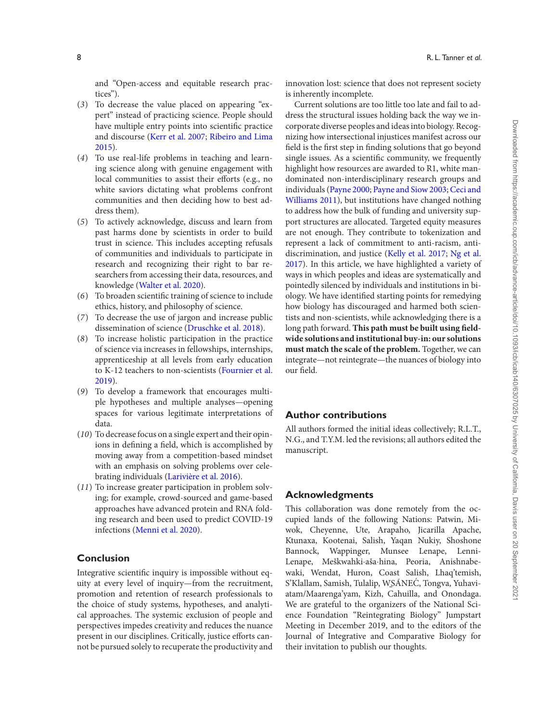and "Open-access and equitable research practices").

- (*3*) To decrease the value placed on appearing "expert" instead of practicing science. People should have multiple entry points into scientific practice and discourse (Kerr et al. 2007; Ribeiro and Lima 2015).
- (*4*) To use real-life problems in teaching and learning science along with genuine engagement with local communities to assist their efforts (e.g., no white saviors dictating what problems confront communities and then deciding how to best address them).
- (*5*) To actively acknowledge, discuss and learn from past harms done by scientists in order to build trust in science. This includes accepting refusals of communities and individuals to participate in research and recognizing their right to bar researchers from accessing their data, resources, and knowledge (Walter et al. 2020).
- (6) To broaden scientific training of science to include ethics, history, and philosophy of science.
- (*7*) To decrease the use of jargon and increase public dissemination of science (Druschke et al. 2018).
- (*8*) To increase holistic participation in the practice of science via increases in fellowships, internships, apprenticeship at all levels from early education to K-12 teachers to non-scientists (Fournier et al. 2019).
- (*9*) To develop a framework that encourages multiple hypotheses and multiple analyses—opening spaces for various legitimate interpretations of data.
- (*10*) To decrease focus on a single expert and their opinions in defining a field, which is accomplished by moving away from a competition-based mindset with an emphasis on solving problems over celebrating individuals (Larivière et al. 2016).
- (*11*) To increase greater participation in problem solving; for example, crowd-sourced and game-based approaches have advanced protein and RNA folding research and been used to predict COVID-19 infections (Menni et al. 2020).

## **Conclusion**

Integrative scientific inquiry is impossible without equity at every level of inquiry—from the recruitment, promotion and retention of research professionals to the choice of study systems, hypotheses, and analytical approaches. The systemic exclusion of people and perspectives impedes creativity and reduces the nuance present in our disciplines. Critically, justice efforts cannot be pursued solely to recuperate the productivity and innovation lost: science that does not represent society is inherently incomplete.

Current solutions are too little too late and fail to address the structural issues holding back the way we incorporate diverse peoples and ideas into biology. Recognizing how intersectional injustices manifest across our field is the first step in finding solutions that go beyond single issues. As a scientific community, we frequently highlight how resources are awarded to R1, white mandominated non-interdisciplinary research groups and individuals (Payne 2000; Payne and Siow 2003; Ceci and Williams 2011), but institutions have changed nothing to address how the bulk of funding and university support structures are allocated. Targeted equity measures are not enough. They contribute to tokenization and represent a lack of commitment to anti-racism, antidiscrimination, and justice (Kelly et al. 2017; Ng et al. 2017). In this article, we have highlighted a variety of ways in which peoples and ideas are systematically and pointedly silenced by individuals and institutions in biology. We have identified starting points for remedying how biology has discouraged and harmed both scientists and non-scientists, while acknowledging there is a long path forward. This path must be built using field**wide solutions and institutional buy-in: our solutions must match the scale of the problem.** Together, we can integrate—not reintegrate—the nuances of biology into our field.

## **Author contributions**

All authors formed the initial ideas collectively; R.L.T., N.G., and T.Y.M. led the revisions; all authors edited the manuscript.

## **Acknowledgments**

This collaboration was done remotely from the occupied lands of the following Nations: Patwin, Miwok, Cheyenne, Ute, Arapaho, Jicarilla Apache, Ktunaxa, Kootenai, Salish, Yaqan Nukiy, Shoshone Bannock, Wappinger, Munsee Lenape, Lenni-Lenape, Meškwahki·aša·hina, Peoria, Anishnabewaki, Wendat, Huron, Coast Salish, Lhaq'temish, S'Klallam, Samish, Tulalip, W̱SÁNEC, Tongva, Yuhavi- ´ atam/Maarenga'yam, Kizh, Cahuilla, and Onondaga. We are grateful to the organizers of the National Science Foundation "Reintegrating Biology" Jumpstart Meeting in December 2019, and to the editors of the Journal of Integrative and Comparative Biology for their invitation to publish our thoughts.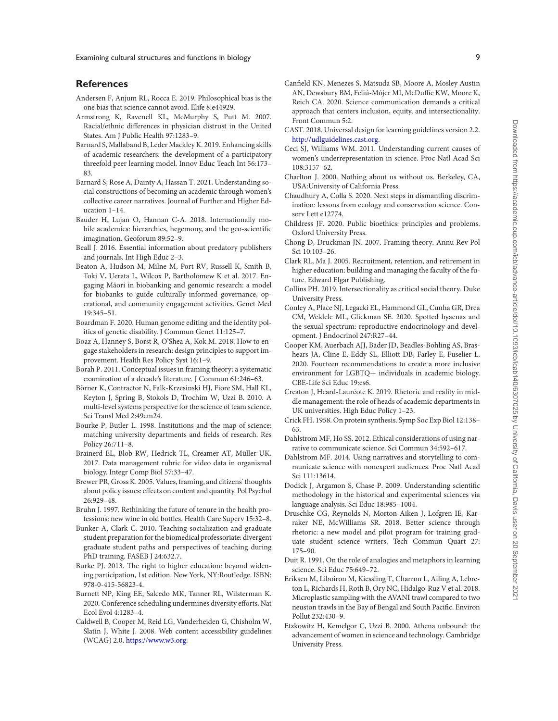#### **References**

- Andersen F, Anjum RL, Rocca E. 2019. Philosophical bias is the one bias that science cannot avoid. Elife 8:e44929.
- Armstrong K, Ravenell KL, McMurphy S, Putt M. 2007. Racial/ethnic differences in physician distrust in the United States. Am J Public Health 97:1283–9.
- Barnard S, Mallaband B, Leder Mackley K. 2019. Enhancing skills of academic researchers: the development of a participatory threefold peer learning model. Innov Educ Teach Int 56:173– 83.
- Barnard S, Rose A, Dainty A, Hassan T. 2021. Understanding social constructions of becoming an academic through women's collective career narratives. Journal of Further and Higher Education 1–14.
- Bauder H, Lujan O, Hannan C-A. 2018. Internationally mobile academics: hierarchies, hegemony, and the geo-scientific imagination. Geoforum 89:52–9.
- Beall J. 2016. Essential information about predatory publishers and journals. Int High Educ 2–3.
- Beaton A, Hudson M, Milne M, Port RV, Russell K, Smith B, Toki V, Uerata L, Wilcox P, Bartholomew K et al. 2017. Engaging Māori in biobanking and genomic research: a model for biobanks to guide culturally informed governance, operational, and community engagement activities. Genet Med 19:345–51.
- Boardman F. 2020. Human genome editing and the identity politics of genetic disability. J Commun Genet 11:125–7.
- Boaz A, Hanney S, Borst R, O'Shea A, Kok M. 2018. How to engage stakeholders in research: design principles to support improvement. Health Res Policy Syst 16:1–9.
- Borah P. 2011. Conceptual issues in framing theory: a systematic examination of a decade's literature. J Commun 61:246–63.
- Börner K, Contractor N, Falk-Krzesinski HJ, Fiore SM, Hall KL, Keyton J, Spring B, Stokols D, Trochim W, Uzzi B. 2010. A multi-level systems perspective for the science of team science. Sci Transl Med 2:49cm24.
- Bourke P, Butler L. 1998. Institutions and the map of science: matching university departments and fields of research. Res Policy 26:711–8.
- Brainerd EL, Blob RW, Hedrick TL, Creamer AT, Müller UK. 2017. Data management rubric for video data in organismal biology. Integr Comp Biol 57:33–47.
- Brewer PR, Gross K. 2005. Values, framing, and citizens' thoughts about policy issues: effects on content and quantity. Pol Psychol 26:929–48.
- Bruhn J. 1997. Rethinking the future of tenure in the health professions: new wine in old bottles. Health Care Superv 15:32–8.
- Bunker A, Clark C. 2010. Teaching socialization and graduate student preparation for the biomedical professoriate: divergent graduate student paths and perspectives of teaching during PhD training. FASEB J 24:632.7.
- Burke PJ. 2013. The right to higher education: beyond widening participation, 1st edition. New York, NY:Routledge. ISBN: 978-0-415-56823-4.
- Burnett NP, King EE, Salcedo MK, Tanner RL, Wilsterman K. 2020. Conference scheduling undermines diversity efforts. Nat Ecol Evol 4:1283–4.
- Caldwell B, Cooper M, Reid LG, Vanderheiden G, Chisholm W, Slatin J, White J. 2008. Web content accessibility guidelines (WCAG) 2.0. [https://www.w3.org.](https://www.w3.org/)
- Canfield KN, Menezes S, Matsuda SB, Moore A, Mosley Austin AN, Dewsbury BM, Feliú-Mójer MI, McDuffie KW, Moore K, Reich CA. 2020. Science communication demands a critical approach that centers inclusion, equity, and intersectionality. Front Commun 5:2.
- CAST. 2018. Universal design for learning guidelines version 2.2. [http://udlguidelines.cast.org.](https://udlguidelines.cast.org/)
- Ceci SJ, Williams WM. 2011. Understanding current causes of women's underrepresentation in science. Proc Natl Acad Sci 108:3157–62.
- Charlton J. 2000. Nothing about us without us. Berkeley, CA, USA:University of California Press.
- Chaudhury A, Colla S. 2020. Next steps in dismantling discrimination: lessons from ecology and conservation science. Conserv Lett e12774.
- Childress JF. 2020. Public bioethics: principles and problems. Oxford University Press.
- Chong D, Druckman JN. 2007. Framing theory. Annu Rev Pol Sci 10:103–26.
- Clark RL, Ma J. 2005. Recruitment, retention, and retirement in higher education: building and managing the faculty of the future. Edward Elgar Publishing.
- Collins PH. 2019. Intersectionality as critical social theory. Duke University Press.
- Conley A, Place NJ, Legacki EL, Hammond GL, Cunha GR, Drea CM, Weldele ML, Glickman SE. 2020. Spotted hyaenas and the sexual spectrum: reproductive endocrinology and development. J Endocrinol 247:R27–44.
- Cooper KM, Auerbach AJJ, Bader JD, Beadles-Bohling AS, Brashears JA, Cline E, Eddy SL, Elliott DB, Farley E, Fuselier L. 2020. Fourteen recommendations to create a more inclusive environment for LGBTQ+ individuals in academic biology. CBE-Life Sci Educ 19:es6.
- Creaton J, Heard-Lauréote K. 2019. Rhetoric and reality in middle management: the role of heads of academic departments in UK universities. High Educ Policy 1–23.
- Crick FH. 1958. On protein synthesis. Symp Soc Exp Biol 12:138– 63.
- Dahlstrom MF, Ho SS. 2012. Ethical considerations of using narrative to communicate science. Sci Commun 34:592–617.
- Dahlstrom MF. 2014. Using narratives and storytelling to communicate science with nonexpert audiences. Proc Natl Acad Sci 111:13614.
- Dodick J, Argamon S, Chase P. 2009. Understanding scientific methodology in the historical and experimental sciences via language analysis. Sci Educ 18:985–1004.
- Druschke CG, Reynolds N, Morton-Aiken J, Lofgren IE, Karraker NE, McWilliams SR. 2018. Better science through rhetoric: a new model and pilot program for training graduate student science writers. Tech Commun Quart 27: 175–90.
- Duit R. 1991. On the role of analogies and metaphors in learning science. Sci Educ 75:649–72.
- Eriksen M, Liboiron M, Kiessling T, Charron L, Ailing A, Lebreton L, Richards H, Roth B, Ory NC, Hidalgo-Ruz V et al. 2018. Microplastic sampling with the AVANI trawl compared to two neuston trawls in the Bay of Bengal and South Pacific. Environ Pollut 232:430–9.
- Etzkowitz H, Kemelgor C, Uzzi B. 2000. Athena unbound: the advancement of women in science and technology. Cambridge University Press.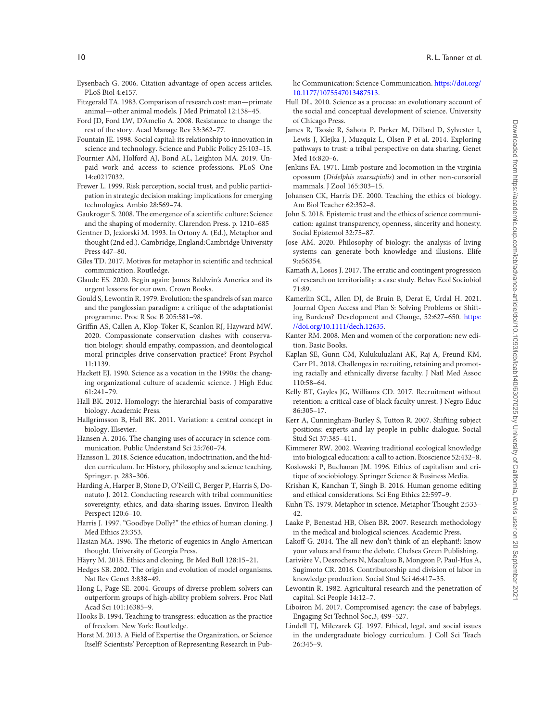- Eysenbach G. 2006. Citation advantage of open access articles. PLoS Biol 4:e157.
- Fitzgerald TA. 1983. Comparison of research cost: man—primate animal—other animal models. J Med Primatol 12:138–45.
- Ford JD, Ford LW, D'Amelio A. 2008. Resistance to change: the rest of the story. Acad Manage Rev 33:362–77.
- Fountain JE. 1998. Social capital: its relationship to innovation in science and technology. Science and Public Policy 25:103–15.
- Fournier AM, Holford AJ, Bond AL, Leighton MA. 2019. Unpaid work and access to science professions. PLoS One 14:e0217032.
- Frewer L. 1999. Risk perception, social trust, and public participation in strategic decision making: implications for emerging technologies. Ambio 28:569–74.
- Gaukroger S. 2008. The emergence of a scientific culture: Science and the shaping of modernity. Clarendon Press. p. 1210–685
- Gentner D, Jeziorski M. 1993. In Ortony A. (Ed.), Metaphor and thought (2nd ed.). Cambridge, England:Cambridge University Press 447–80.
- Giles TD. 2017. Motives for metaphor in scientific and technical communication. Routledge.
- Glaude ES. 2020. Begin again: James Baldwin's America and its urgent lessons for our own. Crown Books.
- Gould S, Lewontin R. 1979. Evolution: the spandrels of san marco and the panglossian paradigm: a critique of the adaptationist programme. Proc R Soc B 205:581–98.
- Griffin AS, Callen A, Klop-Toker K, Scanlon RJ, Hayward MW. 2020. Compassionate conservation clashes with conservation biology: should empathy, compassion, and deontological moral principles drive conservation practice? Front Psychol 11:1139.
- Hackett EJ. 1990. Science as a vocation in the 1990s: the changing organizational culture of academic science. J High Educ 61:241–79.
- Hall BK. 2012. Homology: the hierarchial basis of comparative biology. Academic Press.
- Hallgrímsson B, Hall BK. 2011. Variation: a central concept in biology. Elsevier.
- Hansen A. 2016. The changing uses of accuracy in science communication. Public Understand Sci 25:760–74.
- Hansson L. 2018. Science education, indoctrination, and the hidden curriculum. In: History, philosophy and science teaching. Springer. p. 283–306.
- Harding A, Harper B, Stone D, O'Neill C, Berger P, Harris S, Donatuto J. 2012. Conducting research with tribal communities: sovereignty, ethics, and data-sharing issues. Environ Health Perspect 120:6–10.
- Harris J. 1997. "Goodbye Dolly?" the ethics of human cloning. J Med Ethics 23:353.
- Hasian MA. 1996. The rhetoric of eugenics in Anglo-American thought. University of Georgia Press.
- Häyry M. 2018. Ethics and cloning. Br Med Bull 128:15–21.
- Hedges SB. 2002. The origin and evolution of model organisms. Nat Rev Genet 3:838–49.
- Hong L, Page SE. 2004. Groups of diverse problem solvers can outperform groups of high-ability problem solvers. Proc Natl Acad Sci 101:16385–9.
- Hooks B. 1994. Teaching to transgress: education as the practice of freedom. New York: Routledge.
- Horst M. 2013. A Field of Expertise the Organization, or Science Itself? Scientists' Perception of Representing Research in Pub-

[lic Communication: Science Communication.](https://journals.sagepub.com/doi/10.1177/1075547013487513) https://doi.org/ 10.1177/1075547013487513.

- Hull DL. 2010. Science as a process: an evolutionary account of the social and conceptual development of science. University of Chicago Press.
- James R, Tsosie R, Sahota P, Parker M, Dillard D, Sylvester I, Lewis J, Klejka J, Muzquiz L, Olsen P et al. 2014. Exploring pathways to trust: a tribal perspective on data sharing. Genet Med 16:820–6.
- Jenkins FA. 1971. Limb posture and locomotion in the virginia opossum (*Didelphis marsupialis*) and in other non-cursorial mammals. J Zool 165:303–15.
- Johansen CK, Harris DE. 2000. Teaching the ethics of biology. Am Biol Teacher 62:352–8.
- John S. 2018. Epistemic trust and the ethics of science communication: against transparency, openness, sincerity and honesty. Social Epistemol 32:75–87.
- Jose AM. 2020. Philosophy of biology: the analysis of living systems can generate both knowledge and illusions. Elife 9:e56354.
- Kamath A, Losos J. 2017. The erratic and contingent progression of research on territoriality: a case study. Behav Ecol Sociobiol 71:89.
- Kamerlin SCL, Allen DJ, de Bruin B, Derat E, Urdal H. 2021. Journal Open Access and Plan S: Solving Problems or Shift[ing Burdens? Development and Change, 52:627–650.](https://onlinelibrary.wiley.com/doi/10.1111/dech.12635) https: //doi.org/10.1111/dech.12635.
- Kanter RM. 2008. Men and women of the corporation: new edition. Basic Books.
- Kaplan SE, Gunn CM, Kulukulualani AK, Raj A, Freund KM, Carr PL. 2018. Challenges in recruiting, retaining and promoting racially and ethnically diverse faculty. J Natl Med Assoc 110:58–64.
- Kelly BT, Gayles JG, Williams CD. 2017. Recruitment without retention: a critical case of black faculty unrest. J Negro Educ 86:305–17.
- Kerr A, Cunningham-Burley S, Tutton R. 2007. Shifting subject positions: experts and lay people in public dialogue. Social Stud Sci 37:385–411.
- Kimmerer RW. 2002. Weaving traditional ecological knowledge into biological education: a call to action. Bioscience 52:432–8.
- Koslowski P, Buchanan JM. 1996. Ethics of capitalism and critique of sociobiology. Springer Science & Business Media.
- Krishan K, Kanchan T, Singh B. 2016. Human genome editing and ethical considerations. Sci Eng Ethics 22:597–9.
- Kuhn TS. 1979. Metaphor in science. Metaphor Thought 2:533– 42.
- Laake P, Benestad HB, Olsen BR. 2007. Research methodology in the medical and biological sciences. Academic Press.
- Lakoff G. 2014. The all new don't think of an elephant!: know your values and frame the debate. Chelsea Green Publishing.
- Larivière V, Desrochers N, Macaluso B, Mongeon P, Paul-Hus A, Sugimoto CR. 2016. Contributorship and division of labor in knowledge production. Social Stud Sci 46:417–35.
- Lewontin R. 1982. Agricultural research and the penetration of capital. Sci People 14:12–7.
- Liboiron M. 2017. Compromised agency: the case of babylegs. Engaging Sci Technol Soc,3, 499–527.
- Lindell TJ, Milczarek GJ. 1997. Ethical, legal, and social issues in the undergraduate biology curriculum. J Coll Sci Teach 26:345–9.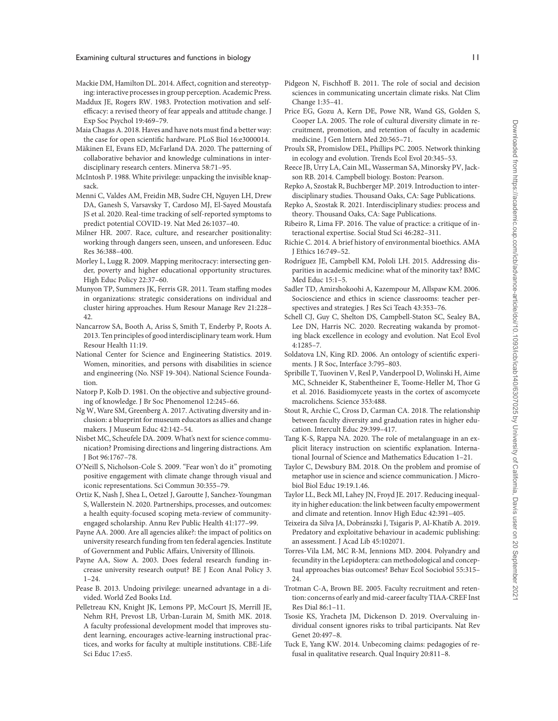- Mackie DM, Hamilton DL. 2014. Affect, cognition and stereotyping: interactive processes in group perception. Academic Press.
- Maddux JE, Rogers RW. 1983. Protection motivation and selfefficacy: a revised theory of fear appeals and attitude change. J Exp Soc Psychol 19:469–79.
- Maia Chagas A. 2018. Haves and have nots must find a better way: the case for open scientific hardware. PLoS Biol 16:e3000014.
- Mäkinen EI, Evans ED, McFarland DA. 2020. The patterning of collaborative behavior and knowledge culminations in interdisciplinary research centers. Minerva 58:71–95.
- McIntosh P. 1988. White privilege: unpacking the invisible knapsack.
- Menni C, Valdes AM, Freidin MB, Sudre CH, Nguyen LH, Drew DA, Ganesh S, Varsavsky T, Cardoso MJ, El-Sayed Moustafa JS et al. 2020. Real-time tracking of self-reported symptoms to predict potential COVID-19. Nat Med 26:1037–40.
- Milner HR. 2007. Race, culture, and researcher positionality: working through dangers seen, unseen, and unforeseen. Educ Res 36:388–400.
- Morley L, Lugg R. 2009. Mapping meritocracy: intersecting gender, poverty and higher educational opportunity structures. High Educ Policy 22:37–60.
- Munyon TP, Summers JK, Ferris GR. 2011. Team staffing modes in organizations: strategic considerations on individual and cluster hiring approaches. Hum Resour Manage Rev 21:228– 42.
- Nancarrow SA, Booth A, Ariss S, Smith T, Enderby P, Roots A. 2013. Ten principles of good interdisciplinary team work. Hum Resour Health 11:19.
- National Center for Science and Engineering Statistics. 2019. Women, minorities, and persons with disabilities in science and engineering (No. NSF 19-304). National Science Foundation.
- Natorp P, Kolb D. 1981. On the objective and subjective grounding of knowledge. J Br Soc Phenomenol 12:245–66.
- Ng W, Ware SM, Greenberg A. 2017. Activating diversity and inclusion: a blueprint for museum educators as allies and change makers. J Museum Educ 42:142–54.
- Nisbet MC, Scheufele DA. 2009. What's next for science communication? Promising directions and lingering distractions. Am J Bot 96:1767–78.
- O'Neill S, Nicholson-Cole S. 2009. "Fear won't do it" promoting positive engagement with climate change through visual and iconic representations. Sci Commun 30:355–79.
- Ortiz K, Nash J, Shea L, Oetzel J, Garoutte J, Sanchez-Youngman S, Wallerstein N. 2020. Partnerships, processes, and outcomes: a health equity-focused scoping meta-review of communityengaged scholarship. Annu Rev Public Health 41:177–99.
- Payne AA. 2000. Are all agencies alike?: the impact of politics on university research funding from ten federal agencies. Institute of Government and Public Affairs, University of Illinois.
- Payne AA, Siow A. 2003. Does federal research funding increase university research output? BE J Econ Anal Policy 3.  $1 - 24$ .
- Pease B. 2013. Undoing privilege: unearned advantage in a divided. World Zed Books Ltd.
- Pelletreau KN, Knight JK, Lemons PP, McCourt JS, Merrill JE, Nehm RH, Prevost LB, Urban-Lurain M, Smith MK. 2018. A faculty professional development model that improves student learning, encourages active-learning instructional practices, and works for faculty at multiple institutions. CBE-Life Sci Educ 17:es5.
- Pidgeon N, Fischhoff B. 2011. The role of social and decision sciences in communicating uncertain climate risks. Nat Clim Change 1:35–41.
- Price EG, Gozu A, Kern DE, Powe NR, Wand GS, Golden S, Cooper LA. 2005. The role of cultural diversity climate in recruitment, promotion, and retention of faculty in academic medicine. J Gen Intern Med 20:565–71.
- Proulx SR, Promislow DEL, Phillips PC. 2005. Network thinking in ecology and evolution. Trends Ecol Evol 20:345–53.
- Reece JB, Urry LA, Cain ML, Wasserman SA, Minorsky PV, Jackson RB. 2014. Campbell biology. Boston: Pearson.
- Repko A, Szostak R, Buchberger MP. 2019. Introduction to interdisciplinary studies. Thousand Oaks, CA: Sage Publications.
- Repko A, Szostak R. 2021. Interdisciplinary studies: process and theory. Thousand Oaks, CA: Sage Publications.
- Ribeiro R, Lima FP. 2016. The value of practice: a critique of interactional expertise. Social Stud Sci 46:282–311.
- Richie C. 2014. A brief history of environmental bioethics. AMA J Ethics 16:749–52.
- Rodríguez JE, Campbell KM, Pololi LH. 2015. Addressing disparities in academic medicine: what of the minority tax? BMC Med Educ 15:1–5.
- Sadler TD, Amirshokoohi A, Kazempour M, Allspaw KM. 2006. Socioscience and ethics in science classrooms: teacher perspectives and strategies. J Res Sci Teach 43:353–76.
- Schell CJ, Guy C, Shelton DS, Campbell-Staton SC, Sealey BA, Lee DN, Harris NC. 2020. Recreating wakanda by promoting black excellence in ecology and evolution. Nat Ecol Evol 4:1285–7.
- Soldatova LN, King RD. 2006. An ontology of scientific experiments. J R Soc, Interface 3:795–803.
- Spribille T, Tuovinen V, Resl P, Vanderpool D, Wolinski H, Aime MC, Schneider K, Stabentheiner E, Toome-Heller M, Thor G et al. 2016. Basidiomycete yeasts in the cortex of ascomycete macrolichens. Science 353:488.
- Stout R, Archie C, Cross D, Carman CA. 2018. The relationship between faculty diversity and graduation rates in higher education. Intercult Educ 29:399–417.
- Tang K-S, Rappa NA. 2020. The role of metalanguage in an explicit literacy instruction on scientific explanation. International Journal of Science and Mathematics Education 1–21.
- Taylor C, Dewsbury BM. 2018. On the problem and promise of metaphor use in science and science communication. J Microbiol Biol Educ 19:19.1.46.
- Taylor LL, Beck MI, Lahey JN, Froyd JE. 2017. Reducing inequality in higher education: the link between faculty empowerment and climate and retention. Innov High Educ 42:391–405.
- Teixeira da Silva JA, Dobránszki J, Tsigaris P, Al-Khatib A. 2019. Predatory and exploitative behaviour in academic publishing: an assessment. J Acad Lib 45:102071.
- Torres-Vila LM, MC R-M, Jennions MD. 2004. Polyandry and fecundity in the Lepidoptera: can methodological and conceptual approaches bias outcomes? Behav Ecol Sociobiol 55:315– 24.
- Trotman C-A, Brown BE. 2005. Faculty recruitment and retention: concerns of early and mid-career faculty TIAA-CREF Inst Res Dial 86:1–11.
- Tsosie KS, Yracheta JM, Dickenson D. 2019. Overvaluing individual consent ignores risks to tribal participants. Nat Rev Genet 20:497–8.
- Tuck E, Yang KW. 2014. Unbecoming claims: pedagogies of refusal in qualitative research. Qual Inquiry 20:811–8.